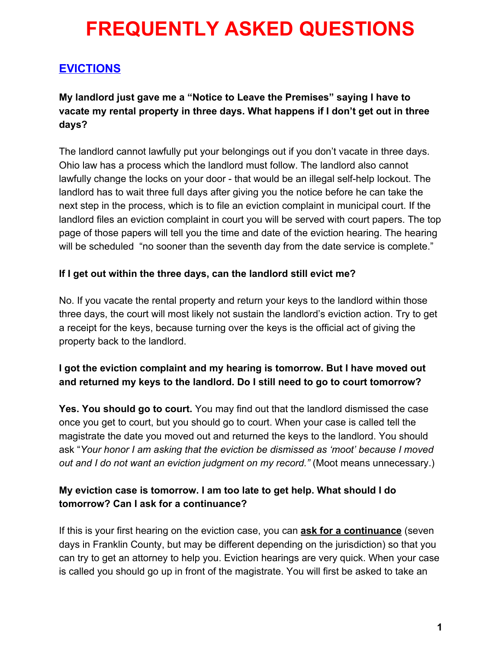# **EVICTIONS**

**My landlord just gave me a "Notice to Leave the Premises" saying I have to vacate my rental property in three days. What happens if I don't get out in three days?**

The landlord cannot lawfully put your belongings out if you don't vacate in three days. Ohio law has a process which the landlord must follow. The landlord also cannot lawfully change the locks on your door - that would be an illegal self-help lockout. The landlord has to wait three full days after giving you the notice before he can take the next step in the process, which is to file an eviction complaint in municipal court. If the landlord files an eviction complaint in court you will be served with court papers. The top page of those papers will tell you the time and date of the eviction hearing. The hearing will be scheduled "no sooner than the seventh day from the date service is complete."

## **If I get out within the three days, can the landlord still evict me?**

No. If you vacate the rental property and return your keys to the landlord within those three days, the court will most likely not sustain the landlord's eviction action. Try to get a receipt for the keys, because turning over the keys is the official act of giving the property back to the landlord.

# **I got the eviction complaint and my hearing is tomorrow. But I have moved out and returned my keys to the landlord. Do I still need to go to court tomorrow?**

**Yes. You should go to court.** You may find out that the landlord dismissed the case once you get to court, but you should go to court. When your case is called tell the magistrate the date you moved out and returned the keys to the landlord. You should ask "*Your honor I am asking that the eviction be dismissed as 'moot' because I moved out and I do not want an eviction judgment on my record."* (Moot means unnecessary.)

# **My eviction case is tomorrow. I am too late to get help. What should I do tomorrow? Can I ask for a continuance?**

If this is your first hearing on the eviction case, you can **ask for a continuance** (seven days in Franklin County, but may be different depending on the jurisdiction) so that you can try to get an attorney to help you. Eviction hearings are very quick. When your case is called you should go up in front of the magistrate. You will first be asked to take an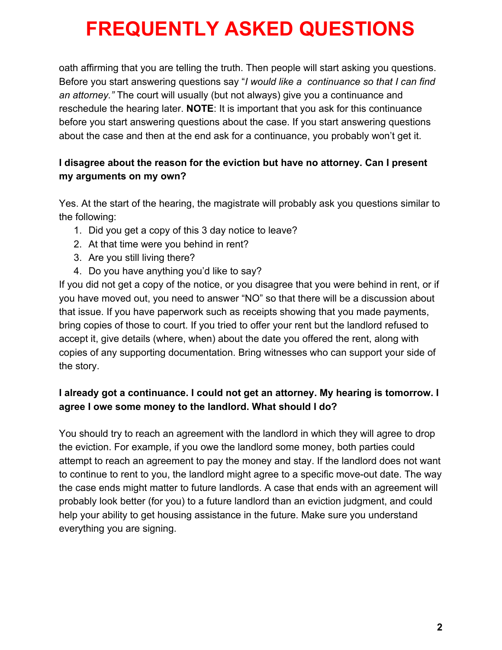oath affirming that you are telling the truth. Then people will start asking you questions. Before you start answering questions say "*I would like a continuance so that I can find an attorney."* The court will usually (but not always) give you a continuance and reschedule the hearing later. **NOTE**: It is important that you ask for this continuance before you start answering questions about the case. If you start answering questions about the case and then at the end ask for a continuance, you probably won't get it.

# **I disagree about the reason for the eviction but have no attorney. Can I present my arguments on my own?**

Yes. At the start of the hearing, the magistrate will probably ask you questions similar to the following:

- 1. Did you get a copy of this 3 day notice to leave?
- 2. At that time were you behind in rent?
- 3. Are you still living there?
- 4. Do you have anything you'd like to say?

If you did not get a copy of the notice, or you disagree that you were behind in rent, or if you have moved out, you need to answer "NO" so that there will be a discussion about that issue. If you have paperwork such as receipts showing that you made payments, bring copies of those to court. If you tried to offer your rent but the landlord refused to accept it, give details (where, when) about the date you offered the rent, along with copies of any supporting documentation. Bring witnesses who can support your side of the story.

# **I already got a continuance. I could not get an attorney. My hearing is tomorrow. I agree I owe some money to the landlord. What should I do?**

You should try to reach an agreement with the landlord in which they will agree to drop the eviction. For example, if you owe the landlord some money, both parties could attempt to reach an agreement to pay the money and stay. If the landlord does not want to continue to rent to you, the landlord might agree to a specific move-out date. The way the case ends might matter to future landlords. A case that ends with an agreement will probably look better (for you) to a future landlord than an eviction judgment, and could help your ability to get housing assistance in the future. Make sure you understand everything you are signing.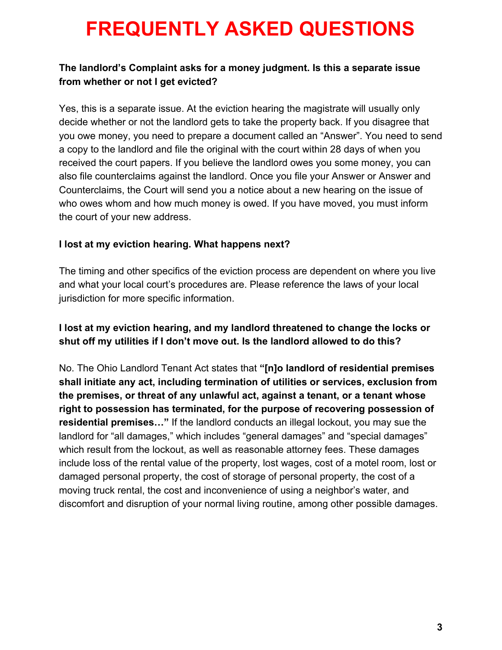## **The landlord's Complaint asks for a money judgment. Is this a separate issue from whether or not I get evicted?**

Yes, this is a separate issue. At the eviction hearing the magistrate will usually only decide whether or not the landlord gets to take the property back. If you disagree that you owe money, you need to prepare a document called an "Answer". You need to send a copy to the landlord and file the original with the court within 28 days of when you received the court papers. If you believe the landlord owes you some money, you can also file counterclaims against the landlord. Once you file your Answer or Answer and Counterclaims, the Court will send you a notice about a new hearing on the issue of who owes whom and how much money is owed. If you have moved, you must inform the court of your new address.

### **I lost at my eviction hearing. What happens next?**

The timing and other specifics of the eviction process are dependent on where you live and what your local court's procedures are. Please reference the laws of your local jurisdiction for more specific information.

## **I lost at my eviction hearing, and my landlord threatened to change the locks or shut off my utilities if I don't move out. Is the landlord allowed to do this?**

No. The Ohio Landlord Tenant Act states that **"[n]o landlord of residential premises shall initiate any act, including termination of utilities or services, exclusion from the premises, or threat of any unlawful act, against a tenant, or a tenant whose right to possession has terminated, for the purpose of recovering possession of residential premises…"** If the landlord conducts an illegal lockout, you may sue the landlord for "all damages," which includes "general damages" and "special damages" which result from the lockout, as well as reasonable attorney fees. These damages include loss of the rental value of the property, lost wages, cost of a motel room, lost or damaged personal property, the cost of storage of personal property, the cost of a moving truck rental, the cost and inconvenience of using a neighbor's water, and discomfort and disruption of your normal living routine, among other possible damages.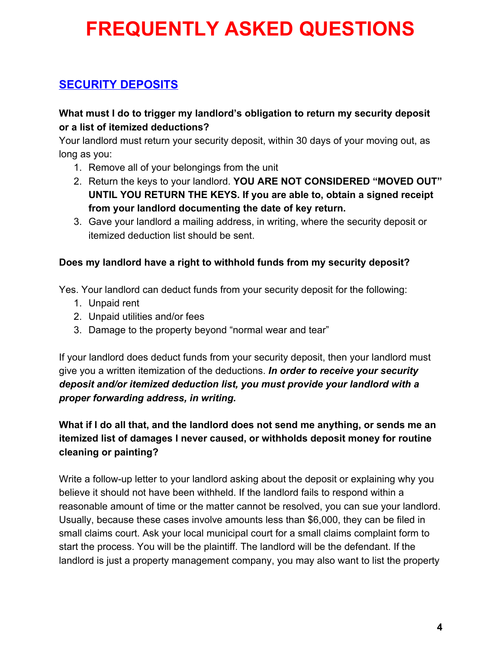# **SECURITY DEPOSITS**

## **What must I do to trigger my landlord's obligation to return my security deposit or a list of itemized deductions?**

Your landlord must return your security deposit, within 30 days of your moving out, as long as you:

- 1. Remove all of your belongings from the unit
- 2. Return the keys to your landlord. **YOU ARE NOT CONSIDERED "MOVED OUT" UNTIL YOU RETURN THE KEYS. If you are able to, obtain a signed receipt from your landlord documenting the date of key return.**
- 3. Gave your landlord a mailing address, in writing, where the security deposit or itemized deduction list should be sent.

### **Does my landlord have a right to withhold funds from my security deposit?**

Yes. Your landlord can deduct funds from your security deposit for the following:

- 1. Unpaid rent
- 2. Unpaid utilities and/or fees
- 3. Damage to the property beyond "normal wear and tear"

If your landlord does deduct funds from your security deposit, then your landlord must give you a written itemization of the deductions. *In order to receive your security deposit and/or itemized deduction list, you must provide your landlord with a proper forwarding address, in writing.*

# **What if I do all that, and the landlord does not send me anything, or sends me an itemized list of damages I never caused, or withholds deposit money for routine cleaning or painting?**

Write a follow-up letter to your landlord asking about the deposit or explaining why you believe it should not have been withheld. If the landlord fails to respond within a reasonable amount of time or the matter cannot be resolved, you can sue your landlord. Usually, because these cases involve amounts less than \$6,000, they can be filed in small claims court. Ask your local municipal court for a small claims complaint form to start the process. You will be the plaintiff. The landlord will be the defendant. If the landlord is just a property management company, you may also want to list the property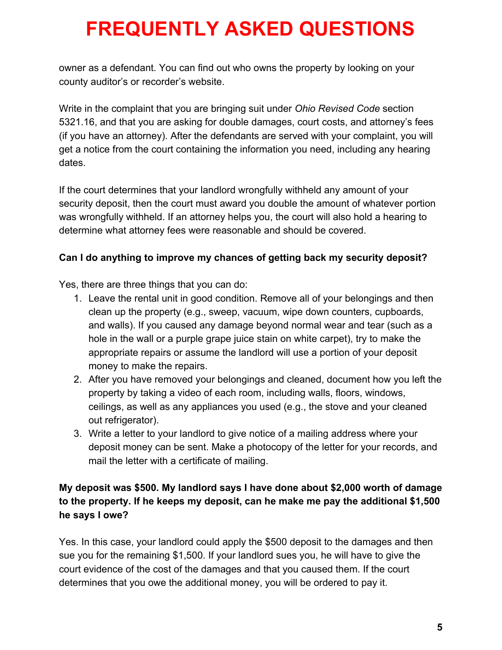owner as a defendant. You can find out who owns the property by looking on your county auditor's or recorder's website.

Write in the complaint that you are bringing suit under *Ohio Revised Code* section 5321.16, and that you are asking for double damages, court costs, and attorney's fees (if you have an attorney). After the defendants are served with your complaint, you will get a notice from the court containing the information you need, including any hearing dates.

If the court determines that your landlord wrongfully withheld any amount of your security deposit, then the court must award you double the amount of whatever portion was wrongfully withheld. If an attorney helps you, the court will also hold a hearing to determine what attorney fees were reasonable and should be covered.

## **Can I do anything to improve my chances of getting back my security deposit?**

Yes, there are three things that you can do:

- 1. Leave the rental unit in good condition. Remove all of your belongings and then clean up the property (e.g., sweep, vacuum, wipe down counters, cupboards, and walls). If you caused any damage beyond normal wear and tear (such as a hole in the wall or a purple grape juice stain on white carpet), try to make the appropriate repairs or assume the landlord will use a portion of your deposit money to make the repairs.
- 2. After you have removed your belongings and cleaned, document how you left the property by taking a video of each room, including walls, floors, windows, ceilings, as well as any appliances you used (e.g., the stove and your cleaned out refrigerator).
- 3. Write a letter to your landlord to give notice of a mailing address where your deposit money can be sent. Make a photocopy of the letter for your records, and mail the letter with a certificate of mailing.

# **My deposit was \$500. My landlord says I have done about \$2,000 worth of damage to the property. If he keeps my deposit, can he make me pay the additional \$1,500 he says I owe?**

Yes. In this case, your landlord could apply the \$500 deposit to the damages and then sue you for the remaining \$1,500. If your landlord sues you, he will have to give the court evidence of the cost of the damages and that you caused them. If the court determines that you owe the additional money, you will be ordered to pay it.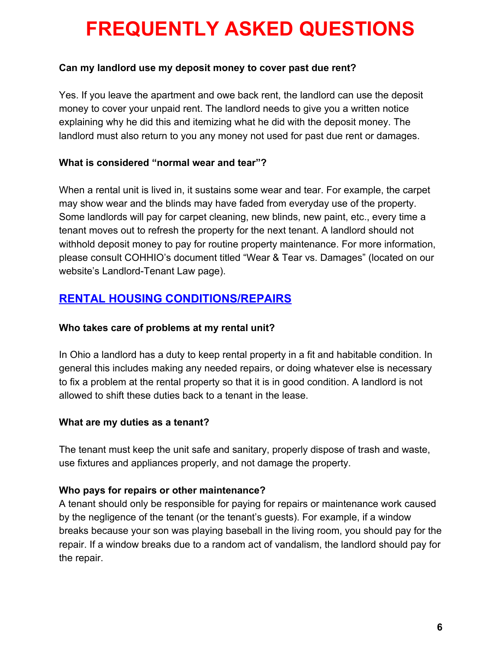#### **Can my landlord use my deposit money to cover past due rent?**

Yes. If you leave the apartment and owe back rent, the landlord can use the deposit money to cover your unpaid rent. The landlord needs to give you a written notice explaining why he did this and itemizing what he did with the deposit money. The landlord must also return to you any money not used for past due rent or damages.

#### **What is considered "normal wear and tear"?**

When a rental unit is lived in, it sustains some wear and tear. For example, the carpet may show wear and the blinds may have faded from everyday use of the property. Some landlords will pay for carpet cleaning, new blinds, new paint, etc., every time a tenant moves out to refresh the property for the next tenant. A landlord should not withhold deposit money to pay for routine property maintenance. For more information, please consult COHHIO's document titled "Wear & Tear vs. Damages" (located on our website's Landlord-Tenant Law page).

# **RENTAL HOUSING CONDITIONS/REPAIRS**

#### **Who takes care of problems at my rental unit?**

In Ohio a landlord has a duty to keep rental property in a fit and habitable condition. In general this includes making any needed repairs, or doing whatever else is necessary to fix a problem at the rental property so that it is in good condition. A landlord is not allowed to shift these duties back to a tenant in the lease.

#### **What are my duties as a tenant?**

The tenant must keep the unit safe and sanitary, properly dispose of trash and waste, use fixtures and appliances properly, and not damage the property.

#### **Who pays for repairs or other maintenance?**

A tenant should only be responsible for paying for repairs or maintenance work caused by the negligence of the tenant (or the tenant's guests). For example, if a window breaks because your son was playing baseball in the living room, you should pay for the repair. If a window breaks due to a random act of vandalism, the landlord should pay for the repair.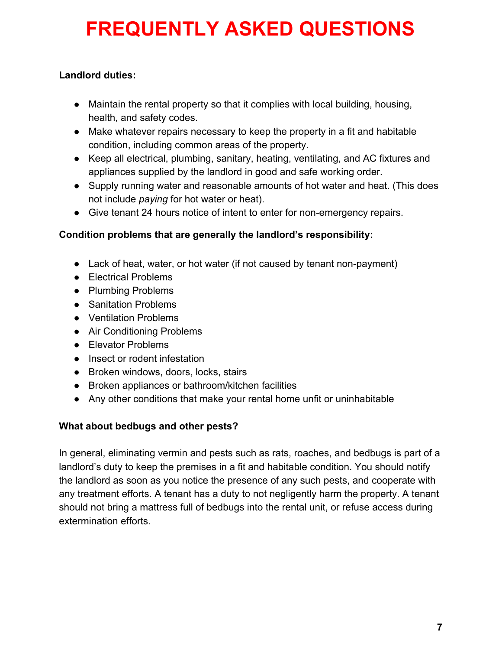# **Landlord duties:**

- Maintain the rental property so that it complies with local building, housing, health, and safety codes.
- Make whatever repairs necessary to keep the property in a fit and habitable condition, including common areas of the property.
- Keep all electrical, plumbing, sanitary, heating, ventilating, and AC fixtures and appliances supplied by the landlord in good and safe working order.
- Supply running water and reasonable amounts of hot water and heat. (This does not include *paying* for hot water or heat).
- Give tenant 24 hours notice of intent to enter for non-emergency repairs.

# **Condition problems that are generally the landlord's responsibility:**

- Lack of heat, water, or hot water (if not caused by tenant non-payment)
- Electrical Problems
- Plumbing Problems
- Sanitation Problems
- Ventilation Problems
- Air Conditioning Problems
- Elevator Problems
- Insect or rodent infestation
- Broken windows, doors, locks, stairs
- Broken appliances or bathroom/kitchen facilities
- Any other conditions that make your rental home unfit or uninhabitable

## **What about bedbugs and other pests?**

In general, eliminating vermin and pests such as rats, roaches, and bedbugs is part of a landlord's duty to keep the premises in a fit and habitable condition. You should notify the landlord as soon as you notice the presence of any such pests, and cooperate with any treatment efforts. A tenant has a duty to not negligently harm the property. A tenant should not bring a mattress full of bedbugs into the rental unit, or refuse access during extermination efforts.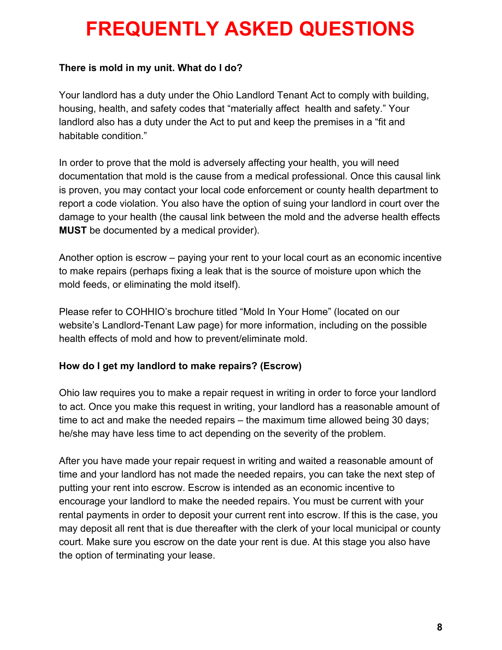### **There is mold in my unit. What do I do?**

Your landlord has a duty under the Ohio Landlord Tenant Act to comply with building, housing, health, and safety codes that "materially affect health and safety." Your landlord also has a duty under the Act to put and keep the premises in a "fit and habitable condition."

In order to prove that the mold is adversely affecting your health, you will need documentation that mold is the cause from a medical professional. Once this causal link is proven, you may contact your local code enforcement or county health department to report a code violation. You also have the option of suing your landlord in court over the damage to your health (the causal link between the mold and the adverse health effects **MUST** be documented by a medical provider).

Another option is escrow – paying your rent to your local court as an economic incentive to make repairs (perhaps fixing a leak that is the source of moisture upon which the mold feeds, or eliminating the mold itself).

Please refer to COHHIO's brochure titled "Mold In Your Home" (located on our website's Landlord-Tenant Law page) for more information, including on the possible health effects of mold and how to prevent/eliminate mold.

#### **How do I get my landlord to make repairs? (Escrow)**

Ohio law requires you to make a repair request in writing in order to force your landlord to act. Once you make this request in writing, your landlord has a reasonable amount of time to act and make the needed repairs – the maximum time allowed being 30 days; he/she may have less time to act depending on the severity of the problem.

After you have made your repair request in writing and waited a reasonable amount of time and your landlord has not made the needed repairs, you can take the next step of putting your rent into escrow. Escrow is intended as an economic incentive to encourage your landlord to make the needed repairs. You must be current with your rental payments in order to deposit your current rent into escrow. If this is the case, you may deposit all rent that is due thereafter with the clerk of your local municipal or county court. Make sure you escrow on the date your rent is due. At this stage you also have the option of terminating your lease.